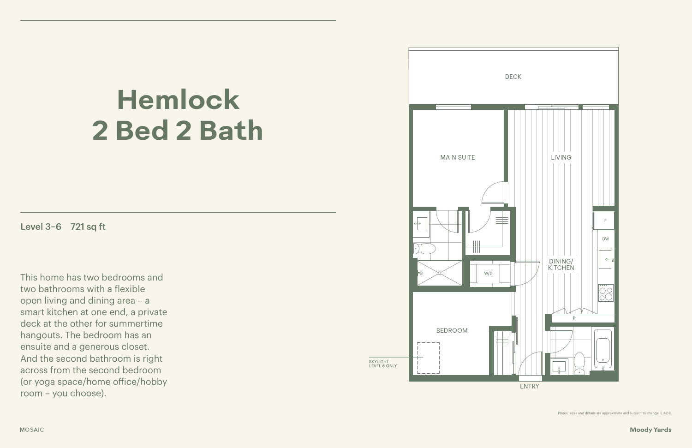### **Moody Yards**

# **Hemlock 2 Bed 2 Bath**

Level 3–6 721 sq ft

This home has two bedrooms and two bathrooms with a flexible open living and dining area – a smart kitchen at one end, a private deck at the other for summertime hangouts. The bedroom has an ensuite and a generous closet. And the second bathroom is right across from the second bedroom (or yoga space/home office/hobby room – you choose).



Prices, sizes and details are approximate and subject to change. E.&O.E.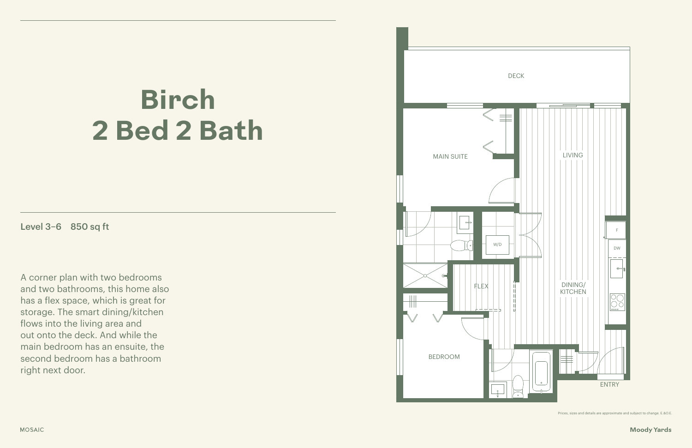### **Moody Yards**

## **Birch 2 Bed 2 Bath**

Level 3–6 850 sq ft

A corner plan with two bedrooms and two bathrooms, this home also has a flex space, which is great for storage. The smart dining/kitchen flows into the living area and out onto the deck. And while the main bedroom has an ensuite, the second bedroom has a bathroom right next door.

Prices, sizes and details are approximate and subject to change. E.&O.E.